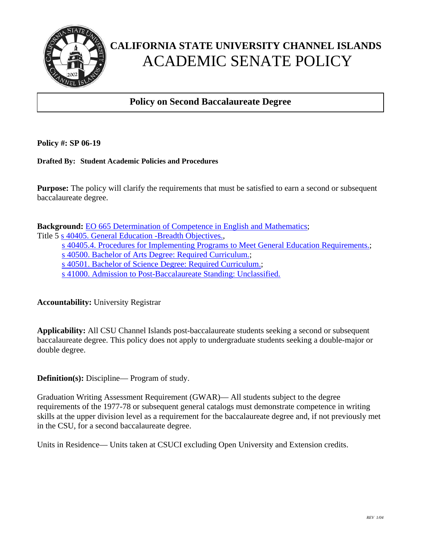

## **CALIFORNIA STATE UNIVERSITY CHANNEL ISLANDS**  ACADEMIC SENATE POLICY

## **Policy on Second Baccalaureate Degree**

**Policy #: SP 06-19**

**Drafted By: Student Academic Policies and Procedures** 

֧֖֖֚֚֞֝֬֝֬

**Purpose:** The policy will clarify the requirements that must be satisfied to earn a second or subsequent baccalaureate degree.

**Background:** EO 665 Determination of Competence in English and Mathematics;

Title 5 s 40405. General Education -Breadth Objectives.,

s 40405.4. Procedures for Implementing Programs to Meet General Education Requirements.;

s 40500. Bachelor of Arts Degree: Required Curriculum.;

s 40501. Bachelor of Science Degree: Required Curriculum.;

s 41000. Admission to Post-Baccalaureate Standing: Unclassified.

**Accountability:** University Registrar

**Applicability:** All CSU Channel Islands post-baccalaureate students seeking a second or subsequent baccalaureate degree. This policy does not apply to undergraduate students seeking a double-major or double degree.

**Definition(s):** Discipline— Program of study.

Graduation Writing Assessment Requirement (GWAR)— All students subject to the degree requirements of the 1977-78 or subsequent general catalogs must demonstrate competence in writing skills at the upper division level as a requirement for the baccalaureate degree and, if not previously met in the CSU, for a second baccalaureate degree.

Units in Residence— Units taken at CSUCI excluding Open University and Extension credits.